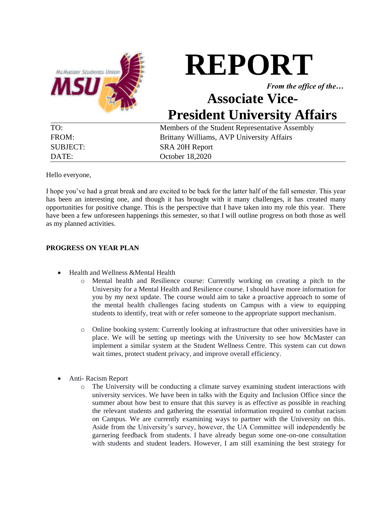

# **REPORT**

*From the office of the…*

# **Associate Vice-President University Affairs**

| TO:      | Members of the Student Representative Assembly |
|----------|------------------------------------------------|
| FROM:    | Brittany Williams, AVP University Affairs      |
| SUBJECT: | SRA 20H Report                                 |
| DATE:    | October 18,2020                                |

Hello everyone,

I hope you've had a great break and are excited to be back for the latter half of the fall semester. This year has been an interesting one, and though it has brought with it many challenges, it has created many opportunities for positive change. This is the perspective that I have taken into my role this year. There have been a few unforeseen happenings this semester, so that I will outline progress on both those as well as my planned activities.

# **PROGRESS ON YEAR PLAN**

- Health and Wellness &Mental Health
	- o Mental health and Resilience course: Currently working on creating a pitch to the University for a Mental Health and Resilience course. I should have more information for you by my next update. The course would aim to take a proactive approach to some of the mental health challenges facing students on Campus with a view to equipping students to identify, treat with or refer someone to the appropriate support mechanism.
	- o Online booking system: Currently looking at infrastructure that other universities have in place. We will be setting up meetings with the University to see how McMaster can implement a similar system at the Student Wellness Centre. This system can cut down wait times, protect student privacy, and improve overall efficiency.
- Anti- Racism Report
	- o The University will be conducting a climate survey examining student interactions with university services. We have been in talks with the Equity and Inclusion Office since the summer about how best to ensure that this survey is as effective as possible in reaching the relevant students and gathering the essential information required to combat racism on Campus. We are currently examining ways to partner with the University on this. Aside from the University's survey, however, the UA Committee will independently be garnering feedback from students. I have already begun some one-on-one consultation with students and student leaders. However, I am still examining the best strategy for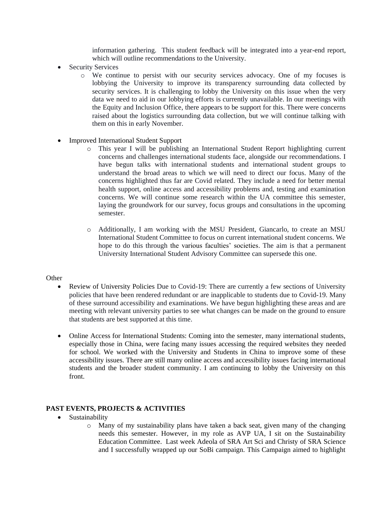information gathering. This student feedback will be integrated into a year-end report, which will outline recommendations to the University.

- Security Services
	- o We continue to persist with our security services advocacy. One of my focuses is lobbying the University to improve its transparency surrounding data collected by security services. It is challenging to lobby the University on this issue when the very data we need to aid in our lobbying efforts is currently unavailable. In our meetings with the Equity and Inclusion Office, there appears to be support for this. There were concerns raised about the logistics surrounding data collection, but we will continue talking with them on this in early November.
- Improved International Student Support
	- o This year I will be publishing an International Student Report highlighting current concerns and challenges international students face, alongside our recommendations. I have begun talks with international students and international student groups to understand the broad areas to which we will need to direct our focus. Many of the concerns highlighted thus far are Covid related. They include a need for better mental health support, online access and accessibility problems and, testing and examination concerns. We will continue some research within the UA committee this semester, laying the groundwork for our survey, focus groups and consultations in the upcoming semester.
	- o Additionally, I am working with the MSU President, Giancarlo, to create an MSU International Student Committee to focus on current international student concerns. We hope to do this through the various faculties' societies. The aim is that a permanent University International Student Advisory Committee can supersede this one.

#### **Other**

- Review of University Policies Due to Covid-19: There are currently a few sections of University policies that have been rendered redundant or are inapplicable to students due to Covid-19. Many of these surround accessibility and examinations. We have begun highlighting these areas and are meeting with relevant university parties to see what changes can be made on the ground to ensure that students are best supported at this time.
- Online Access for International Students: Coming into the semester, many international students, especially those in China, were facing many issues accessing the required websites they needed for school. We worked with the University and Students in China to improve some of these accessibility issues. There are still many online access and accessibility issues facing international students and the broader student community. I am continuing to lobby the University on this front.

# **PAST EVENTS, PROJECTS & ACTIVITIES**

- Sustainability
	- o Many of my sustainability plans have taken a back seat, given many of the changing needs this semester. However, in my role as AVP UA, I sit on the Sustainability Education Committee. Last week Adeola of SRA Art Sci and Christy of SRA Science and I successfully wrapped up our SoBi campaign. This Campaign aimed to highlight